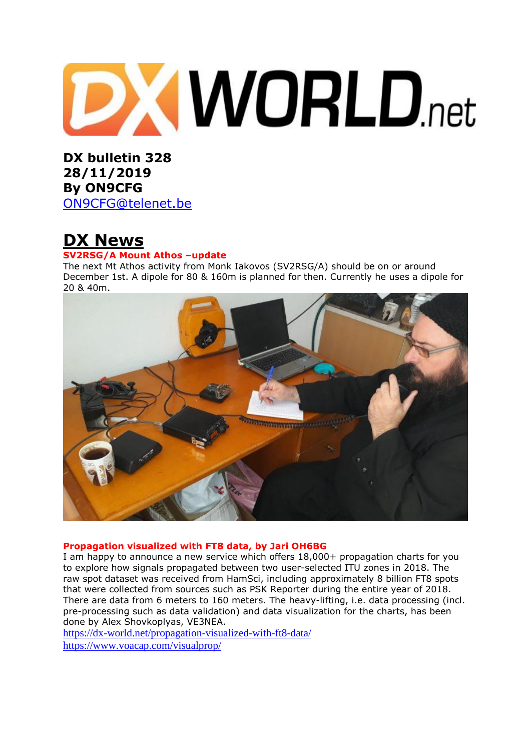

**DX bulletin 328 28/11/2019 By ON9CFG**  [ON9CFG@telenet.be](mailto:ON9CFG@telenet.be)

# **DX News**

## **SV2RSG/A Mount Athos –update**

The next Mt Athos activity from Monk Iakovos (SV2RSG/A) should be on or around December 1st. A dipole for 80 & 160m is planned for then. Currently he uses a dipole for 20 & 40m.



#### **Propagation visualized with FT8 data, by Jari OH6BG**

I am happy to announce a new service which offers 18,000+ propagation charts for you to explore how signals propagated between two user-selected ITU zones in 2018. The raw spot dataset was received from HamSci, including approximately 8 billion FT8 spots that were collected from sources such as PSK Reporter during the entire year of 2018. There are data from 6 meters to 160 meters. The heavy-lifting, i.e. data processing (incl. pre-processing such as data validation) and data visualization for the charts, has been done by Alex Shovkoplyas, VE3NEA.

<https://dx-world.net/propagation-visualized-with-ft8-data/>

<https://www.voacap.com/visualprop/>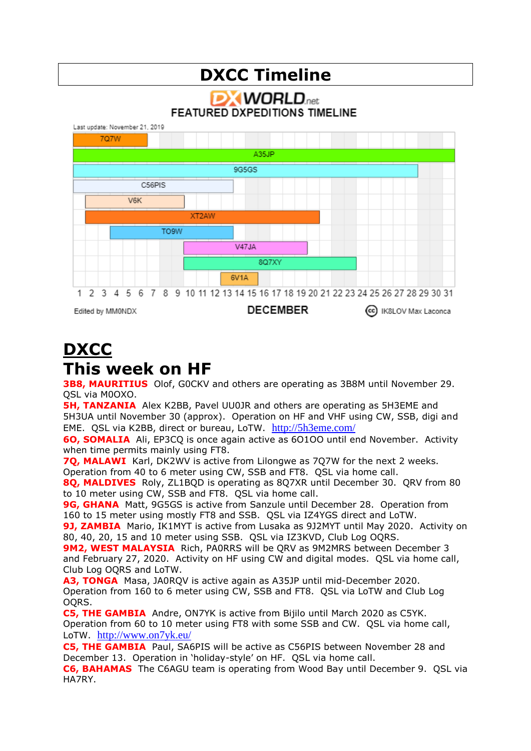## **DXCC Timeline DX WORLD FEATURED DXPEDITIONS TIMELINE** Last update: November 21, 2019 **707W** A35.IP 9G5GS C56PIS **V6K** XT2AW TO<sub>9W</sub>  $V47JA$ 8Q7XY 6V<sub>1</sub>A 1 2 3 4 5 6 7 8 9 10 11 12 13 14 15 16 17 18 19 20 21 22 23 24 25 26 27 28 29 30 31 Edited by MM0NDX **DECEMBER** (cc) IK8LOV Max Laconca

# **DXCC This week on HF**

**3B8, MAURITIUS** Olof, G0CKV and others are operating as 3B8M until November 29. QSL via M0OXO.

**5H, TANZANIA** Alex K2BB, Pavel UU0JR and others are operating as 5H3EME and 5H3UA until November 30 (approx). Operation on HF and VHF using CW, SSB, digi and EME. QSL via K2BB, direct or bureau, LoTW. <http://5h3eme.com/>

**6O, SOMALIA** Ali, EP3CQ is once again active as 6O1OO until end November. Activity when time permits mainly using FT8.

**7Q, MALAWI** Karl, DK2WV is active from Lilongwe as 7Q7W for the next 2 weeks. Operation from 40 to 6 meter using CW, SSB and FT8. QSL via home call.

**8Q, MALDIVES** Roly, ZL1BQD is operating as 8Q7XR until December 30. QRV from 80 to 10 meter using CW, SSB and FT8. QSL via home call.

**9G, GHANA** Matt, 9G5GS is active from Sanzule until December 28. Operation from 160 to 15 meter using mostly FT8 and SSB. QSL via IZ4YGS direct and LoTW.

**9J, ZAMBIA** Mario, IK1MYT is active from Lusaka as 9J2MYT until May 2020. Activity on 80, 40, 20, 15 and 10 meter using SSB. QSL via IZ3KVD, Club Log OQRS.

**9M2, WEST MALAYSIA** Rich, PA0RRS will be QRV as 9M2MRS between December 3 and February 27, 2020. Activity on HF using CW and digital modes. QSL via home call, Club Log OQRS and LoTW.

**A3, TONGA** Masa, JA0RQV is active again as A35JP until mid-December 2020. Operation from 160 to 6 meter using CW, SSB and FT8. QSL via LoTW and Club Log OQRS.

**C5, THE GAMBIA** Andre, ON7YK is active from Bijilo until March 2020 as C5YK. Operation from 60 to 10 meter using FT8 with some SSB and CW. QSL via home call, LoTW. <http://www.on7yk.eu/>

**C5, THE GAMBIA** Paul, SA6PIS will be active as C56PIS between November 28 and December 13. Operation in 'holiday-style' on HF. QSL via home call.

**C6, BAHAMAS** The C6AGU team is operating from Wood Bay until December 9. QSL via HA7RY.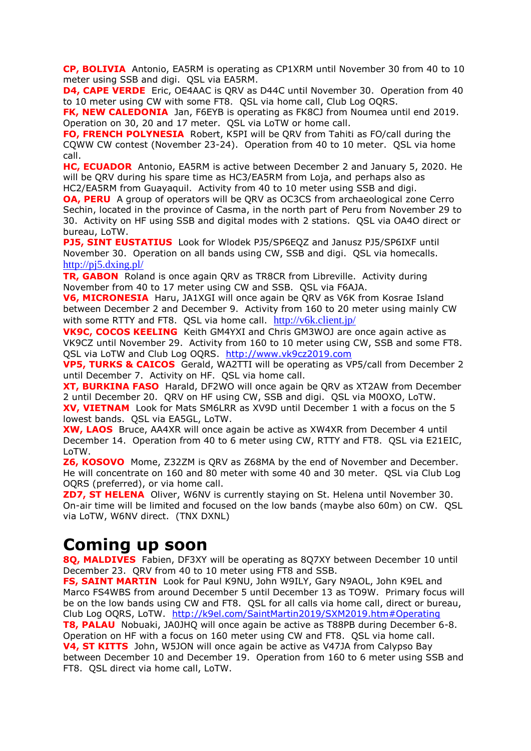**CP, BOLIVIA** Antonio, EA5RM is operating as CP1XRM until November 30 from 40 to 10 meter using SSB and digi. QSL via EA5RM.

**D4, CAPE VERDE** Eric, OE4AAC is QRV as D44C until November 30. Operation from 40 to 10 meter using CW with some FT8. QSL via home call, Club Log OQRS.

**FK, NEW CALEDONIA** Jan, F6EYB is operating as FK8CJ from Noumea until end 2019. Operation on 30, 20 and 17 meter. QSL via LoTW or home call.

**FO, FRENCH POLYNESIA** Robert, K5PI will be QRV from Tahiti as FO/call during the CQWW CW contest (November 23-24). Operation from 40 to 10 meter. QSL via home call.

**HC, ECUADOR** Antonio, EA5RM is active between December 2 and January 5, 2020. He will be QRV during his spare time as HC3/EA5RM from Loja, and perhaps also as HC2/EA5RM from Guayaquil. Activity from 40 to 10 meter using SSB and digi.

**OA, PERU** A group of operators will be QRV as OC3CS from archaeological zone Cerro Sechin, located in the province of Casma, in the north part of Peru from November 29 to 30. Activity on HF using SSB and digital modes with 2 stations. QSL via OA4O direct or bureau, LoTW.

**PJ5, SINT EUSTATIUS** Look for Wlodek PJ5/SP6EQZ and Janusz PJ5/SP6IXF until November 30. Operation on all bands using CW, SSB and digi. QSL via homecalls. <http://pj5.dxing.pl/>

**TR, GABON** Roland is once again QRV as TR8CR from Libreville. Activity during November from 40 to 17 meter using CW and SSB. QSL via F6AJA.

**V6, MICRONESIA** Haru, JA1XGI will once again be QRV as V6K from Kosrae Island between December 2 and December 9. Activity from 160 to 20 meter using mainly CW with some RTTY and FT8. QSL via home call. <http://v6k.client.jp/>

**VK9C, COCOS KEELING** Keith GM4YXI and Chris GM3WOJ are once again active as VK9CZ until November 29. Activity from 160 to 10 meter using CW, SSB and some FT8. QSL via LoTW and Club Log OQRS. [http://www.vk9cz2019.com](http://www.vk9cz2019.com/)

**VP5, TURKS & CAICOS** Gerald, WA2TTI will be operating as VP5/call from December 2 until December 7. Activity on HF. QSL via home call.

**XT, BURKINA FASO** Harald, DF2WO will once again be QRV as XT2AW from December 2 until December 20. QRV on HF using CW, SSB and digi. QSL via M0OXO, LoTW. **XV, VIETNAM** Look for Mats SM6LRR as XV9D until December 1 with a focus on the 5 lowest bands. QSL via EA5GL, LoTW.

**XW, LAOS** Bruce, AA4XR will once again be active as XW4XR from December 4 until December 14. Operation from 40 to 6 meter using CW, RTTY and FT8. QSL via E21EIC, LoTW.

**Z6, KOSOVO** Mome, Z32ZM is QRV as Z68MA by the end of November and December. He will concentrate on 160 and 80 meter with some 40 and 30 meter. QSL via Club Log OQRS (preferred), or via home call.

**ZD7, ST HELENA** Oliver, W6NV is currently staying on St. Helena until November 30. On-air time will be limited and focused on the low bands (maybe also 60m) on CW. QSL via LoTW, W6NV direct. (TNX DXNL)

# **Coming up soon**

**8Q, MALDIVES** Fabien, DF3XY will be operating as 8Q7XY between December 10 until December 23. QRV from 40 to 10 meter using FT8 and SSB.

**FS, SAINT MARTIN** Look for Paul K9NU, John W9ILY, Gary N9AOL, John K9EL and Marco FS4WBS from around December 5 until December 13 as TO9W. Primary focus will be on the low bands using CW and FT8. QSL for all calls via home call, direct or bureau, Club Log OQRS, LoTW. <http://k9el.com/SaintMartin2019/SXM2019.htm#Operating> **T8, PALAU** Nobuaki, JA0JHQ will once again be active as T88PB during December 6-8. Operation on HF with a focus on 160 meter using CW and FT8. QSL via home call. **V4, ST KITTS** John, W5JON will once again be active as V47JA from Calypso Bay between December 10 and December 19. Operation from 160 to 6 meter using SSB and FT8. QSL direct via home call, LoTW.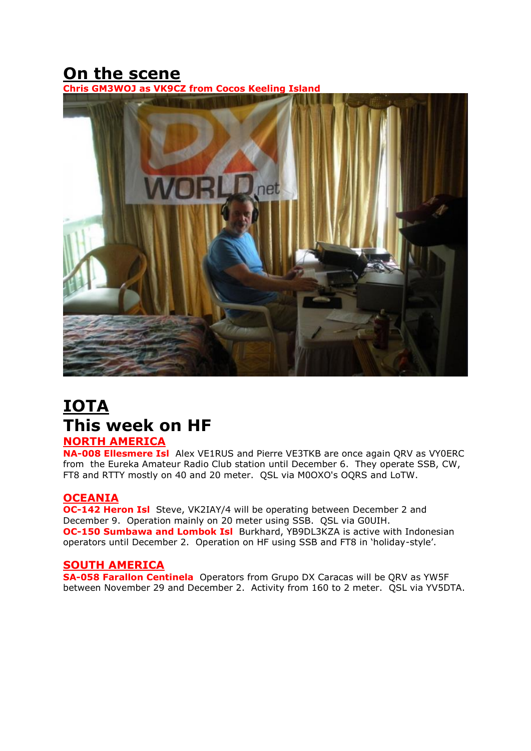# **On the scene**



## **IOTA This week on HF NORTH AMERICA**

**NA-008 Ellesmere Isl** Alex VE1RUS and Pierre VE3TKB are once again QRV as VY0ERC from the Eureka Amateur Radio Club station until December 6. They operate SSB, CW, FT8 and RTTY mostly on 40 and 20 meter. QSL via M0OXO's OQRS and LoTW.

## **OCEANIA**

**OC-142 Heron Isl** Steve, VK2IAY/4 will be operating between December 2 and December 9. Operation mainly on 20 meter using SSB. QSL via G0UIH. **OC-150 Sumbawa and Lombok Isl** Burkhard, YB9DL3KZA is active with Indonesian operators until December 2. Operation on HF using SSB and FT8 in 'holiday-style'.

## **SOUTH AMERICA**

**SA-058 Farallon Centinela** Operators from Grupo DX Caracas will be QRV as YW5F between November 29 and December 2. Activity from 160 to 2 meter. QSL via YV5DTA.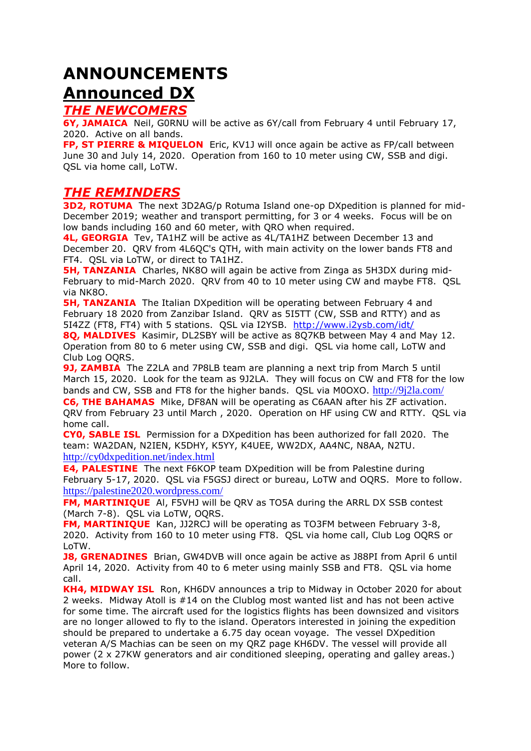# **ANNOUNCEMENTS Announced DX**

## *THE NEWCOMERS*

**6Y, JAMAICA** Neil, G0RNU will be active as 6Y/call from February 4 until February 17, 2020. Active on all bands.

**FP, ST PIERRE & MIQUELON** Eric, KV1J will once again be active as FP/call between June 30 and July 14, 2020. Operation from 160 to 10 meter using CW, SSB and digi. QSL via home call, LoTW.

## *THE REMINDERS*

**3D2, ROTUMA** The next 3D2AG/p Rotuma Island one-op DXpedition is planned for mid-December 2019; weather and transport permitting, for 3 or 4 weeks. Focus will be on low bands including 160 and 60 meter, with QRO when required.

**4L, GEORGIA** Tev, TA1HZ will be active as 4L/TA1HZ between December 13 and December 20. QRV from 4L6QC's QTH, with main activity on the lower bands FT8 and FT4. QSL via LoTW, or direct to TA1HZ.

**5H, TANZANIA** Charles, NK8O will again be active from Zinga as 5H3DX during mid-February to mid-March 2020. QRV from 40 to 10 meter using CW and maybe FT8. QSL via NK8O.

**5H, TANZANIA** The Italian DXpedition will be operating between February 4 and February 18 2020 from Zanzibar Island. QRV as 5I5TT (CW, SSB and RTTY) and as 5I4ZZ (FT8, FT4) with 5 stations. QSL via I2YSB. <http://www.i2ysb.com/idt/>

**8Q, MALDIVES** Kasimir, DL2SBY will be active as 8Q7KB between May 4 and May 12. Operation from 80 to 6 meter using CW, SSB and digi. QSL via home call, LoTW and Club Log OQRS.

**9J, ZAMBIA** The Z2LA and 7P8LB team are planning a next trip from March 5 until March 15, 2020. Look for the team as 9J2LA. They will focus on CW and FT8 for the low bands and CW, SSB and FT8 for the higher bands. QSL via M0OXO. <http://9j2la.com/> **C6, THE BAHAMAS** Mike, DF8AN will be operating as C6AAN after his ZF activation. QRV from February 23 until March , 2020. Operation on HF using CW and RTTY. QSL via home call.

**CY0, SABLE ISL** Permission for a DXpedition has been authorized for fall 2020. The team: WA2DAN, N2IEN, K5DHY, K5YY, K4UEE, WW2DX, AA4NC, N8AA, N2TU. <http://cy0dxpedition.net/index.html>

**E4, PALESTINE** The next F6KOP team DXpedition will be from Palestine during February 5-17, 2020. QSL via F5GSJ direct or bureau, LoTW and OQRS. More to follow. <https://palestine2020.wordpress.com/>

**FM, MARTINIQUE** Al, F5VHJ will be QRV as TO5A during the ARRL DX SSB contest (March 7-8). QSL via LoTW, OQRS.

**FM, MARTINIQUE** Kan, JJ2RCJ will be operating as TO3FM between February 3-8, 2020. Activity from 160 to 10 meter using FT8. QSL via home call, Club Log OQRS or LoTW.

**J8, GRENADINES** Brian, GW4DVB will once again be active as J88PI from April 6 until April 14, 2020. Activity from 40 to 6 meter using mainly SSB and FT8. QSL via home call.

**KH4, MIDWAY ISL** Ron, KH6DV announces a trip to Midway in October 2020 for about 2 weeks. Midway Atoll is #14 on the Clublog most wanted list and has not been active for some time. The aircraft used for the logistics flights has been downsized and visitors are no longer allowed to fly to the island. Operators interested in joining the expedition should be prepared to undertake a 6.75 day ocean voyage. The vessel DXpedition veteran A/S Machias can be seen on my QRZ page KH6DV. The vessel will provide all power (2 x 27KW generators and air conditioned sleeping, operating and galley areas.) More to follow.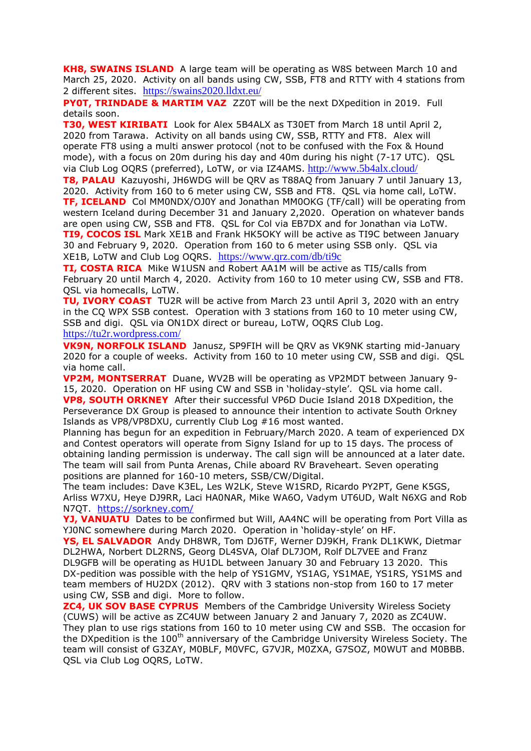**KH8, SWAINS ISLAND** A large team will be operating as W8S between March 10 and March 25, 2020. Activity on all bands using CW, SSB, FT8 and RTTY with 4 stations from 2 different sites. <https://swains2020.lldxt.eu/>

**PY0T, TRINDADE & MARTIM VAZ** ZZ0T will be the next DXpedition in 2019. Full details soon.

**T30, WEST KIRIBATI** Look for Alex 5B4ALX as T30ET from March 18 until April 2, 2020 from Tarawa. Activity on all bands using CW, SSB, RTTY and FT8. Alex will operate FT8 using a multi answer protocol (not to be confused with the Fox & Hound mode), with a focus on 20m during his day and 40m during his night (7-17 UTC). QSL via Club Log OQRS (preferred), LoTW, or via IZ4AMS. <http://www.5b4alx.cloud/>

**T8, PALAU** Kazuyoshi, JH6WDG will be QRV as T88AQ from January 7 until January 13, 2020. Activity from 160 to 6 meter using CW, SSB and FT8. QSL via home call, LoTW. **TF, ICELAND** Col MM0NDX/OJ0Y and Jonathan MM0OKG (TF/call) will be operating from western Iceland during December 31 and January 2,2020. Operation on whatever bands are open using CW, SSB and FT8. QSL for Col via EB7DX and for Jonathan via LoTW. **TI9, COCOS ISL** Mark XE1B and Frank HK5OKY will be active as TI9C between January 30 and February 9, 2020. Operation from 160 to 6 meter using SSB only. QSL via XE1B, LoTW and Club Log OQRS. <https://www.qrz.com/db/ti9c>

**TI, COSTA RICA** Mike W1USN and Robert AA1M will be active as TI5/calls from February 20 until March 4, 2020. Activity from 160 to 10 meter using CW, SSB and FT8. QSL via homecalls, LoTW.

**TU, IVORY COAST** TU2R will be active from March 23 until April 3, 2020 with an entry in the CQ WPX SSB contest. Operation with 3 stations from 160 to 10 meter using CW, SSB and digi. QSL via ON1DX direct or bureau, LoTW, OQRS Club Log.

#### <https://tu2r.wordpress.com/>

**VK9N, NORFOLK ISLAND** Janusz, SP9FIH will be QRV as VK9NK starting mid-January 2020 for a couple of weeks. Activity from 160 to 10 meter using CW, SSB and digi. QSL via home call.

**VP2M, MONTSERRAT** Duane, WV2B will be operating as VP2MDT between January 9- 15, 2020. Operation on HF using CW and SSB in 'holiday-style'. QSL via home call. **VP8, SOUTH ORKNEY** After their successful VP6D Ducie Island 2018 DXpedition, the Perseverance DX Group is pleased to announce their intention to activate South Orkney Islands as VP8/VP8DXU, currently Club Log #16 most wanted.

Planning has begun for an expedition in February/March 2020. A team of experienced DX and Contest operators will operate from Signy Island for up to 15 days. The process of obtaining landing permission is underway. The call sign will be announced at a later date. The team will sail from Punta Arenas, Chile aboard RV Braveheart. Seven operating positions are planned for 160-10 meters, SSB/CW/Digital.

The team includes: Dave K3EL, Les W2LK, Steve W1SRD, Ricardo PY2PT, Gene K5GS, Arliss W7XU, Heye DJ9RR, Laci HA0NAR, Mike WA6O, Vadym UT6UD, Walt N6XG and Rob N7QT. <https://sorkney.com/>

**YJ, VANUATU** Dates to be confirmed but Will, AA4NC will be operating from Port Villa as YJ0NC somewhere during March 2020. Operation in 'holiday-style' on HF.

**YS, EL SALVADOR** Andy DH8WR, Tom DJ6TF, Werner DJ9KH, Frank DL1KWK, Dietmar DL2HWA, Norbert DL2RNS, Georg DL4SVA, Olaf DL7JOM, Rolf DL7VEE and Franz DL9GFB will be operating as HU1DL between January 30 and February 13 2020. This DX-pedition was possible with the help of YS1GMV, YS1AG, YS1MAE, YS1RS, YS1MS and team members of HU2DX (2012). QRV with 3 stations non-stop from 160 to 17 meter using CW, SSB and digi. More to follow.

**ZC4, UK SOV BASE CYPRUS** Members of the Cambridge University Wireless Society (CUWS) will be active as ZC4UW between January 2 and January 7, 2020 as ZC4UW. They plan to use rigs stations from 160 to 10 meter using CW and SSB. The occasion for the DXpedition is the 100<sup>th</sup> anniversary of the Cambridge University Wireless Society. The team will consist of G3ZAY, M0BLF, M0VFC, G7VJR, M0ZXA, G7SOZ, M0WUT and M0BBB. QSL via Club Log OQRS, LoTW.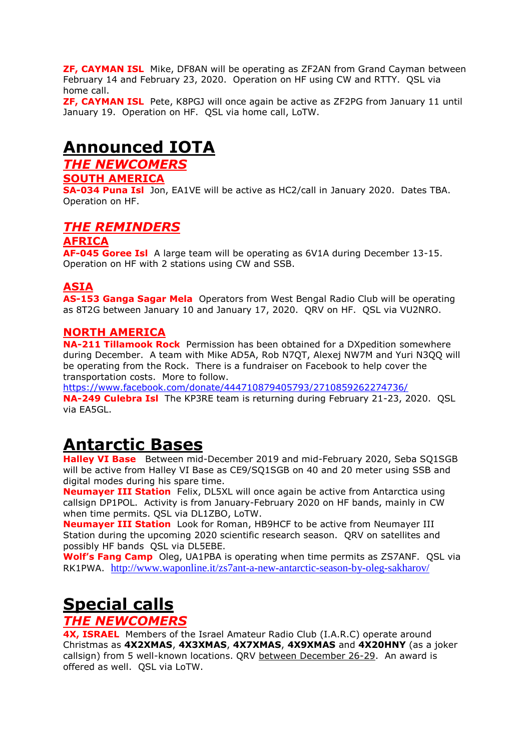**ZF, CAYMAN ISL** Mike, DF8AN will be operating as ZF2AN from Grand Cayman between February 14 and February 23, 2020. Operation on HF using CW and RTTY. QSL via home call.

**ZF, CAYMAN ISL** Pete, K8PGJ will once again be active as ZF2PG from January 11 until January 19. Operation on HF. QSL via home call, LoTW.

# **Announced IOTA**

*THE NEWCOMERS*

### **SOUTH AMERICA**

**SA-034 Puna Isl** Jon, EA1VE will be active as HC2/call in January 2020. Dates TBA. Operation on HF.

## *THE REMINDERS*

## **AFRICA**

**AF-045 Goree Isl** A large team will be operating as 6V1A during December 13-15. Operation on HF with 2 stations using CW and SSB.

## **ASIA**

**AS-153 Ganga Sagar Mela** Operators from West Bengal Radio Club will be operating as 8T2G between January 10 and January 17, 2020. QRV on HF. QSL via VU2NRO.

### **NORTH AMERICA**

**NA-211 Tillamook Rock** Permission has been obtained for a DXpedition somewhere during December. A team with Mike AD5A, Rob N7QT, Alexej NW7M and Yuri N3QQ will be operating from the Rock. There is a fundraiser on Facebook to help cover the transportation costs. More to follow.

<https://www.facebook.com/donate/444710879405793/2710859262274736/>

**NA-249 Culebra Isl** The KP3RE team is returning during February 21-23, 2020. QSL via EA5GL.

# **Antarctic Bases**

**Halley VI Base** Between mid-December 2019 and mid-February 2020, Seba SQ1SGB will be active from Halley VI Base as CE9/SQ1SGB on 40 and 20 meter using SSB and digital modes during his spare time.

**Neumayer III Station** Felix, DL5XL will once again be active from Antarctica using callsign DP1POL. Activity is from January-February 2020 on HF bands, mainly in CW when time permits. QSL via DL1ZBO, LoTW.

**Neumayer III Station** Look for Roman, HB9HCF to be active from Neumayer III Station during the upcoming 2020 scientific research season. QRV on satellites and possibly HF bands QSL via DL5EBE.

**Wolf's Fang Camp** Oleg, UA1PBA is operating when time permits as ZS7ANF. QSL via RK1PWA. <http://www.waponline.it/zs7ant-a-new-antarctic-season-by-oleg-sakharov/>

# **Special calls**

## *THE NEWCOMERS*

**4X, ISRAEL** Members of the Israel Amateur Radio Club (I.A.R.C) operate around Christmas as **4X2XMAS**, **4X3XMAS**, **4X7XMAS**, **4X9XMAS** and **4X20HNY** (as a joker callsign) from 5 well-known locations. QRV between December 26-29. An award is offered as well. QSL via LoTW.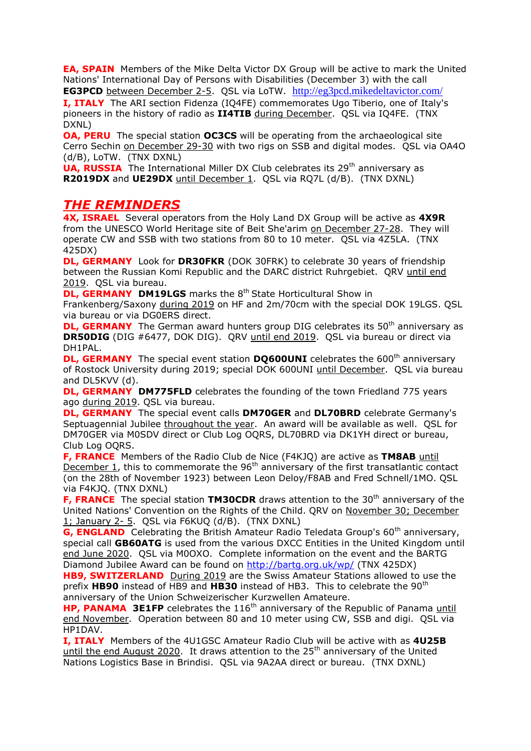**EA, SPAIN** Members of the Mike Delta Victor DX Group will be active to mark the United Nations' International Day of Persons with Disabilities (December 3) with the call **EG3PCD** between December 2-5. QSL via LoTW. <http://eg3pcd.mikedeltavictor.com/>

**I, ITALY** The ARI section Fidenza (IQ4FE) commemorates Ugo Tiberio, one of Italy's pioneers in the history of radio as **II4TIB** during December. QSL via IQ4FE. (TNX DXNL)

**OA, PERU** The special station **OC3CS** will be operating from the archaeological site Cerro Sechin on December 29-30 with two rigs on SSB and digital modes. QSL via OA4O (d/B), LoTW. (TNX DXNL)

**UA, RUSSIA** The International Miller DX Club celebrates its 29<sup>th</sup> anniversary as **R2019DX** and **UE29DX** until December 1. QSL via RQ7L (d/B). (TNX DXNL)

## *THE REMINDERS*

**4X, ISRAEL** Several operators from the Holy Land DX Group will be active as **4X9R** from the UNESCO World Heritage site of Beit She'arim on December 27-28. They will operate CW and SSB with two stations from 80 to 10 meter. QSL via 4Z5LA. (TNX 425DX)

**DL, GERMANY** Look for **DR30FKR** (DOK 30FRK) to celebrate 30 years of friendship between the Russian Komi Republic and the DARC district Ruhrgebiet. QRV until end 2019. QSL via bureau.

**DL, GERMANY DM19LGS** marks the 8<sup>th</sup> State Horticultural Show in Frankenberg/Saxony during 2019 on HF and 2m/70cm with the special DOK 19LGS. QSL via bureau or via DG0ERS direct.

**DL, GERMANY** The German award hunters group DIG celebrates its 50<sup>th</sup> anniversary as **DR50DIG** (DIG #6477, DOK DIG). QRV until end 2019. QSL via bureau or direct via DH1PAL.

**DL, GERMANY** The special event station **DO600UNI** celebrates the 600<sup>th</sup> anniversary of Rostock University during 2019; special DOK 600UNI until December. QSL via bureau and DL5KVV (d).

**DL, GERMANY DM775FLD** celebrates the founding of the town Friedland 775 years ago during 2019. QSL via bureau.

**DL, GERMANY** The special event calls **DM70GER** and **DL70BRD** celebrate Germany's Septuagennial Jubilee throughout the year. An award will be available as well. QSL for DM70GER via M0SDV direct or Club Log OQRS, DL70BRD via DK1YH direct or bureau, Club Log OQRS.

**F, FRANCE** Members of the Radio Club de Nice (F4KJQ) are active as **TM8AB** until December 1, this to commemorate the 96<sup>th</sup> anniversary of the first transatlantic contact (on the 28th of November 1923) between Leon Deloy/F8AB and Fred Schnell/1MO. QSL via F4KJQ. (TNX DXNL)

**F, FRANCE** The special station **TM30CDR** draws attention to the 30<sup>th</sup> anniversary of the United Nations' Convention on the Rights of the Child. QRV on November 30; December 1; January 2- 5. QSL via F6KUQ (d/B). (TNX DXNL)

**G, ENGLAND** Celebrating the British Amateur Radio Teledata Group's 60<sup>th</sup> anniversary, special call **GB60ATG** is used from the various DXCC Entities in the United Kingdom until end June 2020. QSL via M0OXO. Complete information on the event and the BARTG Diamond Jubilee Award can be found on<http://bartg.org.uk/wp/> (TNX 425DX)

**HB9, SWITZERLAND** During 2019 are the Swiss Amateur Stations allowed to use the prefix HB90 instead of HB9 and HB30 instead of HB3. This to celebrate the 90<sup>th</sup> anniversary of the Union Schweizerischer Kurzwellen Amateure.

**HP, PANAMA 3E1FP** celebrates the 116<sup>th</sup> anniversary of the Republic of Panama until end November. Operation between 80 and 10 meter using CW, SSB and digi. QSL via HP1DAV.

**I, ITALY** Members of the 4U1GSC Amateur Radio Club will be active with as **4U25B** until the end August 2020. It draws attention to the  $25<sup>th</sup>$  anniversary of the United Nations Logistics Base in Brindisi. QSL via 9A2AA direct or bureau. (TNX DXNL)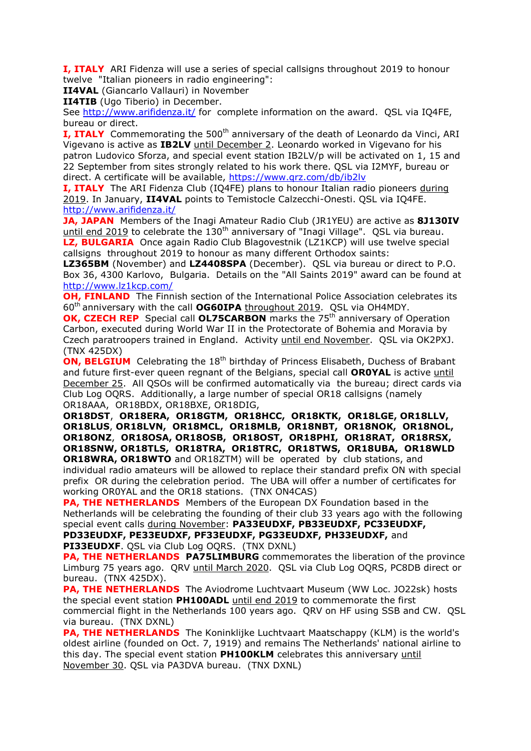**I, ITALY** ARI Fidenza will use a series of special callsigns throughout 2019 to honour twelve "Italian pioneers in radio engineering":

**II4VAL** (Giancarlo Vallauri) in November

**II4TIB** (Ugo Tiberio) in December.

See<http://www.arifidenza.it/> for complete information on the award. QSL via IQ4FE, bureau or direct.

**I, ITALY** Commemorating the 500<sup>th</sup> anniversary of the death of Leonardo da Vinci, ARI Vigevano is active as **IB2LV** until December 2. Leonardo worked in Vigevano for his patron Ludovico Sforza, and special event station IB2LV/p will be activated on 1, 15 and 22 September from sites strongly related to his work there. QSL via I2MYF, bureau or direct. A certificate will be available,<https://www.qrz.com/db/ib2lv>

**I, ITALY** The ARI Fidenza Club (IQ4FE) plans to honour Italian radio pioneers during 2019. In January, **II4VAL** points to Temistocle Calzecchi-Onesti. QSL via IQ4FE. <http://www.arifidenza.it/>

**JA, JAPAN** Members of the Inagi Amateur Radio Club (JR1YEU) are active as **8J130IV** until end 2019 to celebrate the  $130<sup>th</sup>$  anniversary of "Inagi Village". OSL via bureau. **LZ, BULGARIA** Once again Radio Club Blagovestnik (LZ1KCP) will use twelve special callsigns throughout 2019 to honour as many different Orthodox saints:

**LZ365BM** (November) and **LZ4408SPA** (December). QSL via bureau or direct to P.O. Box 36, 4300 Karlovo, Bulgaria. Details on the "All Saints 2019" award can be found at <http://www.lz1kcp.com/>

**OH, FINLAND** The Finnish section of the International Police Association celebrates its 60th anniversary with the call **OG60IPA** throughout 2019. QSL via OH4MDY.

**OK, CZECH REP** Special call **OL75CARBON** marks the 75<sup>th</sup> anniversary of Operation Carbon, executed during World War II in the Protectorate of Bohemia and Moravia by Czech paratroopers trained in England. Activity until end November. QSL via OK2PXJ. (TNX 425DX)

**ON, BELGIUM** Celebrating the 18<sup>th</sup> birthday of Princess Elisabeth, Duchess of Brabant and future first-ever queen regnant of the Belgians, special call **OR0YAL** is active until December 25. All QSOs will be confirmed automatically via the bureau; direct cards via Club Log OQRS. Additionally, a large number of special OR18 callsigns (namely OR18AAA, OR18BDX, OR18BXE, OR18DIG,

**OR18DST**, **OR18ERA, OR18GTM, OR18HCC, OR18KTK, OR18LGE, OR18LLV, OR18LUS**, **OR18LVN, OR18MCL, OR18MLB, OR18NBT, OR18NOK, OR18NOL, OR18ONZ**, **OR18OSA, OR18OSB, OR18OST, OR18PHI, OR18RAT, OR18RSX, OR18SNW, OR18TLS, OR18TRA, OR18TRC, OR18TWS, OR18UBA, OR18WLD OR18WRA, OR18WTO** and OR18ZTM) will be operated by club stations, and individual radio amateurs will be allowed to replace their standard prefix ON with special

prefix OR during the celebration period. The UBA will offer a number of certificates for working OR0YAL and the OR18 stations. (TNX ON4CAS) **PA, THE NETHERLANDS** Members of the European DX Foundation based in the

Netherlands will be celebrating the founding of their club 33 years ago with the following special event calls during November: **PA33EUDXF, PB33EUDXF, PC33EUDXF, PD33EUDXF, PE33EUDXF, PF33EUDXF, PG33EUDXF, PH33EUDXF,** and **PI33EUDXF**. QSL via Club Log OQRS. (TNX DXNL)

**PA, THE NETHERLANDS PA75LIMBURG** commemorates the liberation of the province Limburg 75 years ago. QRV until March 2020. QSL via Club Log OQRS, PC8DB direct or bureau. (TNX 425DX).

**PA, THE NETHERLANDS** The Aviodrome Luchtvaart Museum (WW Loc. JO22sk) hosts the special event station **PH100ADL** until end 2019 to commemorate the first commercial flight in the Netherlands 100 years ago. QRV on HF using SSB and CW. QSL

via bureau. (TNX DXNL)

**PA, THE NETHERLANDS** The Koninklijke Luchtvaart Maatschappy (KLM) is the world's oldest airline (founded on Oct. 7, 1919) and remains The Netherlands' national airline to this day. The special event station **PH100KLM** celebrates this anniversary until November 30. QSL via PA3DVA bureau. (TNX DXNL)